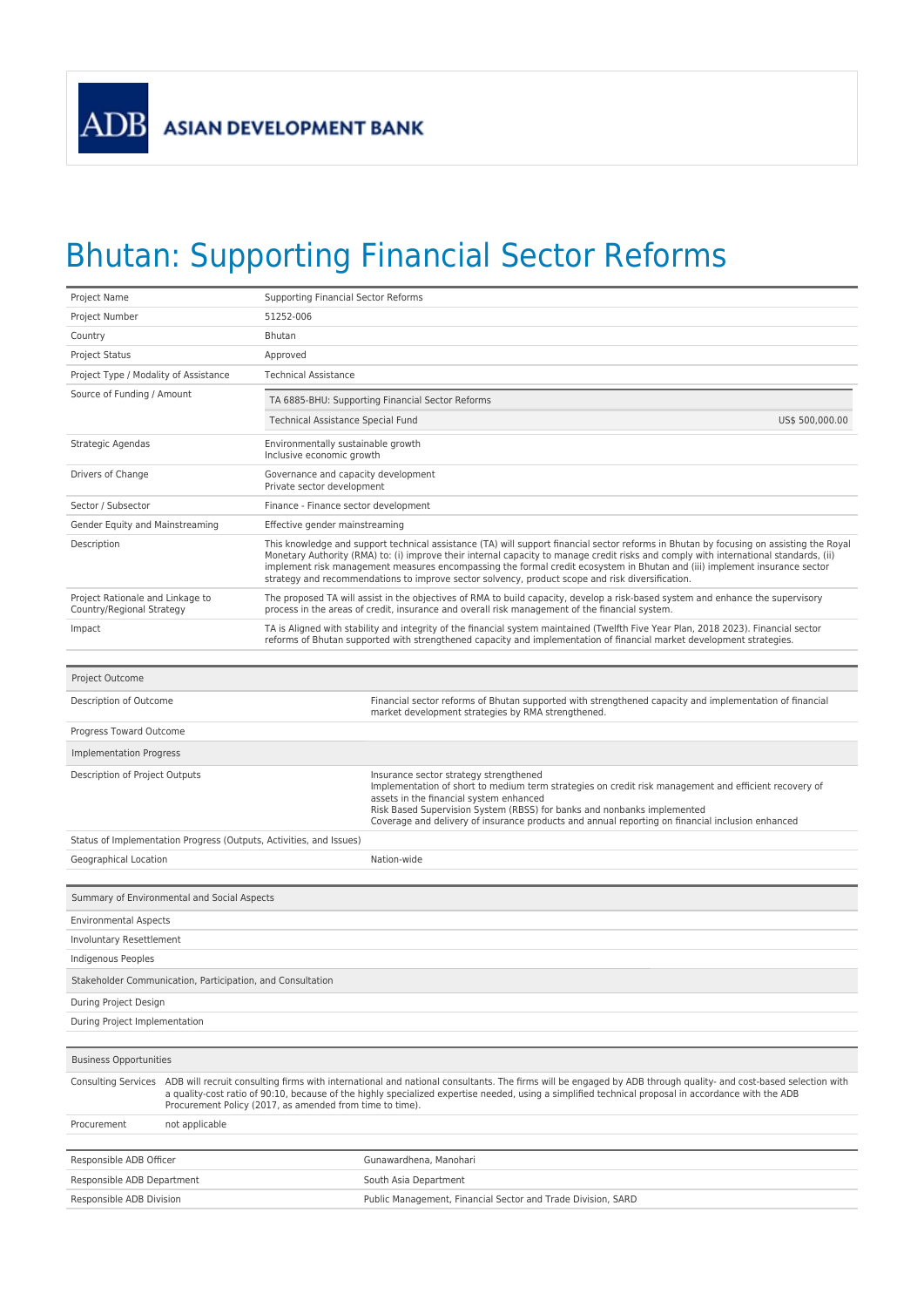## Bhutan: Supporting Financial Sector Reforms

| Project Name                                                        | <b>Supporting Financial Sector Reforms</b>                                                                                                                                                                                                                                                                                                                                                                                                                                                                         |  |  |  |
|---------------------------------------------------------------------|--------------------------------------------------------------------------------------------------------------------------------------------------------------------------------------------------------------------------------------------------------------------------------------------------------------------------------------------------------------------------------------------------------------------------------------------------------------------------------------------------------------------|--|--|--|
| Project Number                                                      | 51252-006                                                                                                                                                                                                                                                                                                                                                                                                                                                                                                          |  |  |  |
| Country                                                             | <b>Bhutan</b>                                                                                                                                                                                                                                                                                                                                                                                                                                                                                                      |  |  |  |
| <b>Project Status</b>                                               | Approved                                                                                                                                                                                                                                                                                                                                                                                                                                                                                                           |  |  |  |
| Project Type / Modality of Assistance                               | <b>Technical Assistance</b>                                                                                                                                                                                                                                                                                                                                                                                                                                                                                        |  |  |  |
| Source of Funding / Amount                                          | TA 6885-BHU: Supporting Financial Sector Reforms                                                                                                                                                                                                                                                                                                                                                                                                                                                                   |  |  |  |
|                                                                     | Technical Assistance Special Fund<br>US\$ 500,000.00                                                                                                                                                                                                                                                                                                                                                                                                                                                               |  |  |  |
| Strategic Agendas                                                   | Environmentally sustainable growth<br>Inclusive economic growth                                                                                                                                                                                                                                                                                                                                                                                                                                                    |  |  |  |
| Drivers of Change                                                   | Governance and capacity development<br>Private sector development                                                                                                                                                                                                                                                                                                                                                                                                                                                  |  |  |  |
| Sector / Subsector                                                  | Finance - Finance sector development                                                                                                                                                                                                                                                                                                                                                                                                                                                                               |  |  |  |
| Gender Equity and Mainstreaming                                     | Effective gender mainstreaming                                                                                                                                                                                                                                                                                                                                                                                                                                                                                     |  |  |  |
| Description                                                         | This knowledge and support technical assistance (TA) will support financial sector reforms in Bhutan by focusing on assisting the Royal<br>Monetary Authority (RMA) to: (i) improve their internal capacity to manage credit risks and comply with international standards, (ii)<br>implement risk management measures encompassing the formal credit ecosystem in Bhutan and (iii) implement insurance sector<br>strategy and recommendations to improve sector solvency, product scope and risk diversification. |  |  |  |
| Project Rationale and Linkage to<br>Country/Regional Strategy       | The proposed TA will assist in the objectives of RMA to build capacity, develop a risk-based system and enhance the supervisory<br>process in the areas of credit, insurance and overall risk management of the financial system.                                                                                                                                                                                                                                                                                  |  |  |  |
| Impact                                                              | TA is Aligned with stability and integrity of the financial system maintained (Twelfth Five Year Plan, 2018 2023). Financial sector<br>reforms of Bhutan supported with strengthened capacity and implementation of financial market development strategies.                                                                                                                                                                                                                                                       |  |  |  |
| Project Outcome                                                     |                                                                                                                                                                                                                                                                                                                                                                                                                                                                                                                    |  |  |  |
| Description of Outcome                                              | Financial sector reforms of Bhutan supported with strengthened capacity and implementation of financial<br>market development strategies by RMA strengthened.                                                                                                                                                                                                                                                                                                                                                      |  |  |  |
| Progress Toward Outcome                                             |                                                                                                                                                                                                                                                                                                                                                                                                                                                                                                                    |  |  |  |
| Implementation Progress                                             |                                                                                                                                                                                                                                                                                                                                                                                                                                                                                                                    |  |  |  |
| Description of Project Outputs                                      | Insurance sector strategy strengthened<br>Implementation of short to medium term strategies on credit risk management and efficient recovery of<br>assets in the financial system enhanced<br>Risk Based Supervision System (RBSS) for banks and nonbanks implemented<br>Coverage and delivery of insurance products and annual reporting on financial inclusion enhanced                                                                                                                                          |  |  |  |
| Status of Implementation Progress (Outputs, Activities, and Issues) |                                                                                                                                                                                                                                                                                                                                                                                                                                                                                                                    |  |  |  |
| Geographical Location                                               | Nation-wide                                                                                                                                                                                                                                                                                                                                                                                                                                                                                                        |  |  |  |
|                                                                     |                                                                                                                                                                                                                                                                                                                                                                                                                                                                                                                    |  |  |  |
| Summary of Environmental and Social Aspects                         |                                                                                                                                                                                                                                                                                                                                                                                                                                                                                                                    |  |  |  |
| <b>Environmental Aspects</b>                                        |                                                                                                                                                                                                                                                                                                                                                                                                                                                                                                                    |  |  |  |
| Involuntary Resettlement                                            |                                                                                                                                                                                                                                                                                                                                                                                                                                                                                                                    |  |  |  |
| Indigenous Peoples                                                  |                                                                                                                                                                                                                                                                                                                                                                                                                                                                                                                    |  |  |  |
| Stakeholder Communication, Participation, and Consultation          |                                                                                                                                                                                                                                                                                                                                                                                                                                                                                                                    |  |  |  |
| During Project Design                                               |                                                                                                                                                                                                                                                                                                                                                                                                                                                                                                                    |  |  |  |
| During Project Implementation                                       |                                                                                                                                                                                                                                                                                                                                                                                                                                                                                                                    |  |  |  |
| <b>Business Opportunities</b>                                       |                                                                                                                                                                                                                                                                                                                                                                                                                                                                                                                    |  |  |  |
| <b>Consulting Services</b>                                          | ADB will recruit consulting firms with international and national consultants. The firms will be engaged by ADB through quality- and cost-based selection with<br>a quality-cost ratio of 90:10, because of the highly specialized expertise needed, using a simplified technical proposal in accordance with the ADB<br>Procurement Policy (2017, as amended from time to time).                                                                                                                                  |  |  |  |
| not applicable<br>Procurement                                       |                                                                                                                                                                                                                                                                                                                                                                                                                                                                                                                    |  |  |  |
| Responsible ADB Officer                                             | Gunawardhena, Manohari                                                                                                                                                                                                                                                                                                                                                                                                                                                                                             |  |  |  |
| Responsible ADB Department                                          | South Asia Department                                                                                                                                                                                                                                                                                                                                                                                                                                                                                              |  |  |  |
| Responsible ADB Division                                            | Public Management, Financial Sector and Trade Division, SARD                                                                                                                                                                                                                                                                                                                                                                                                                                                       |  |  |  |